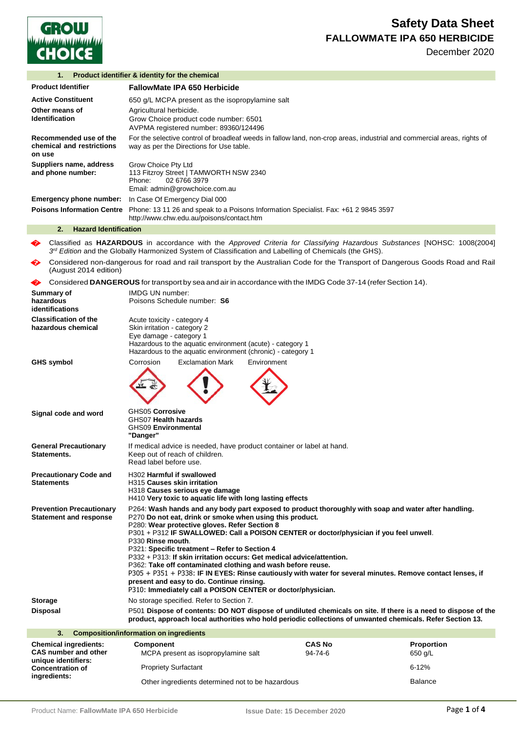

December 2020

| 1.                                                                                 | Product identifier & identity for the chemical                                                                                                                                                                                                                                                                                                                                                                                                                                                                                                                                                                                                                                                                                                      |                          |                              |
|------------------------------------------------------------------------------------|-----------------------------------------------------------------------------------------------------------------------------------------------------------------------------------------------------------------------------------------------------------------------------------------------------------------------------------------------------------------------------------------------------------------------------------------------------------------------------------------------------------------------------------------------------------------------------------------------------------------------------------------------------------------------------------------------------------------------------------------------------|--------------------------|------------------------------|
| <b>Product Identifier</b>                                                          | <b>FallowMate IPA 650 Herbicide</b>                                                                                                                                                                                                                                                                                                                                                                                                                                                                                                                                                                                                                                                                                                                 |                          |                              |
| <b>Active Constituent</b>                                                          | 650 g/L MCPA present as the isopropylamine salt                                                                                                                                                                                                                                                                                                                                                                                                                                                                                                                                                                                                                                                                                                     |                          |                              |
| Other means of<br><b>Identification</b>                                            | Agricultural herbicide.<br>Grow Choice product code number: 6501<br>AVPMA registered number: 89360/124496                                                                                                                                                                                                                                                                                                                                                                                                                                                                                                                                                                                                                                           |                          |                              |
| Recommended use of the<br>chemical and restrictions<br>on use                      | For the selective control of broadleaf weeds in fallow land, non-crop areas, industrial and commercial areas, rights of<br>way as per the Directions for Use table.                                                                                                                                                                                                                                                                                                                                                                                                                                                                                                                                                                                 |                          |                              |
| Suppliers name, address<br>and phone number:                                       | Grow Choice Pty Ltd<br>113 Fitzroy Street   TAMWORTH NSW 2340<br>02 6766 3979<br>Phone:<br>Email: admin@growchoice.com.au                                                                                                                                                                                                                                                                                                                                                                                                                                                                                                                                                                                                                           |                          |                              |
| <b>Emergency phone number:</b>                                                     | In Case Of Emergency Dial 000                                                                                                                                                                                                                                                                                                                                                                                                                                                                                                                                                                                                                                                                                                                       |                          |                              |
|                                                                                    | Poisons Information Centre Phone: 13 11 26 and speak to a Poisons Information Specialist. Fax: +61 2 9845 3597<br>http://www.chw.edu.au/poisons/contact.htm                                                                                                                                                                                                                                                                                                                                                                                                                                                                                                                                                                                         |                          |                              |
| 2.<br><b>Hazard Identification</b>                                                 |                                                                                                                                                                                                                                                                                                                                                                                                                                                                                                                                                                                                                                                                                                                                                     |                          |                              |
|                                                                                    | Classified as HAZARDOUS in accordance with the Approved Criteria for Classifying Hazardous Substances [NOHSC: 1008(2004]<br>$3^{rd}$ Edition and the Globally Harmonized System of Classification and Labelling of Chemicals (the GHS).                                                                                                                                                                                                                                                                                                                                                                                                                                                                                                             |                          |                              |
| �<br>(August 2014 edition)                                                         | Considered non-dangerous for road and rail transport by the Australian Code for the Transport of Dangerous Goods Road and Rail                                                                                                                                                                                                                                                                                                                                                                                                                                                                                                                                                                                                                      |                          |                              |
| ❤                                                                                  | Considered DANGEROUS for transport by sea and air in accordance with the IMDG Code 37-14 (refer Section 14).                                                                                                                                                                                                                                                                                                                                                                                                                                                                                                                                                                                                                                        |                          |                              |
| Summary of<br>hazardous                                                            | <b>IMDG UN number:</b><br>Poisons Schedule number: S6                                                                                                                                                                                                                                                                                                                                                                                                                                                                                                                                                                                                                                                                                               |                          |                              |
| identifications                                                                    |                                                                                                                                                                                                                                                                                                                                                                                                                                                                                                                                                                                                                                                                                                                                                     |                          |                              |
| <b>Classification of the</b><br>hazardous chemical                                 | Acute toxicity - category 4<br>Skin irritation - category 2<br>Eye damage - category 1<br>Hazardous to the aquatic environment (acute) - category 1<br>Hazardous to the aquatic environment (chronic) - category 1                                                                                                                                                                                                                                                                                                                                                                                                                                                                                                                                  |                          |                              |
| <b>GHS symbol</b>                                                                  | Corrosion<br><b>Exclamation Mark</b><br>Environment                                                                                                                                                                                                                                                                                                                                                                                                                                                                                                                                                                                                                                                                                                 |                          |                              |
|                                                                                    |                                                                                                                                                                                                                                                                                                                                                                                                                                                                                                                                                                                                                                                                                                                                                     |                          |                              |
| Signal code and word                                                               | GHS05 Corrosive<br>GHS07 Health hazards<br><b>GHS09 Environmental</b><br>"Danger"                                                                                                                                                                                                                                                                                                                                                                                                                                                                                                                                                                                                                                                                   |                          |                              |
| <b>General Precautionarv</b><br>Statements.                                        | If medical advice is needed, have product container or label at hand.<br>Keep out of reach of children.<br>Read label before use.                                                                                                                                                                                                                                                                                                                                                                                                                                                                                                                                                                                                                   |                          |                              |
| <b>Precautionary Code and</b><br>Statements                                        | H302 Harmful if swallowed<br>H315 Causes skin irritation<br>H318 Causes serious eye damage<br>H410 Very toxic to aquatic life with long lasting effects                                                                                                                                                                                                                                                                                                                                                                                                                                                                                                                                                                                             |                          |                              |
| <b>Prevention Precautionary</b><br><b>Statement and response</b>                   | P264: Wash hands and any body part exposed to product thoroughly with soap and water after handling.<br>P270 Do not eat, drink or smoke when using this product.<br>P280: Wear protective gloves. Refer Section 8<br>P301 + P312 IF SWALLOWED: Call a POISON CENTER or doctor/physician if you feel unwell.<br>P330 Rinse mouth.<br>P321: Specific treatment - Refer to Section 4<br>P332 + P313: If skin irritation occurs: Get medical advice/attention.<br>P362: Take off contaminated clothing and wash before reuse.<br>P305 + P351 + P338: IF IN EYES: Rinse cautiously with water for several minutes. Remove contact lenses, if<br>present and easy to do. Continue rinsing.<br>P310: Immediately call a POISON CENTER or doctor/physician. |                          |                              |
| Storage                                                                            | No storage specified. Refer to Section 7.                                                                                                                                                                                                                                                                                                                                                                                                                                                                                                                                                                                                                                                                                                           |                          |                              |
| Disposal                                                                           | P501 Dispose of contents: DO NOT dispose of undiluted chemicals on site. If there is a need to dispose of the<br>product, approach local authorities who hold periodic collections of unwanted chemicals. Refer Section 13.                                                                                                                                                                                                                                                                                                                                                                                                                                                                                                                         |                          |                              |
| 3.                                                                                 | <b>Composition/information on ingredients</b>                                                                                                                                                                                                                                                                                                                                                                                                                                                                                                                                                                                                                                                                                                       |                          |                              |
| <b>Chemical ingredients:</b><br><b>CAS number and other</b><br>unique identifiers: | Component<br>MCPA present as isopropylamine salt                                                                                                                                                                                                                                                                                                                                                                                                                                                                                                                                                                                                                                                                                                    | <b>CAS No</b><br>94-74-6 | <b>Proportion</b><br>650 g/L |
| <b>Concentration of</b>                                                            | <b>Propriety Surfactant</b>                                                                                                                                                                                                                                                                                                                                                                                                                                                                                                                                                                                                                                                                                                                         |                          | $6 - 12%$                    |

**Concentration of ingredients:**

Other ingredients determined not to be hazardous **Balance** Balance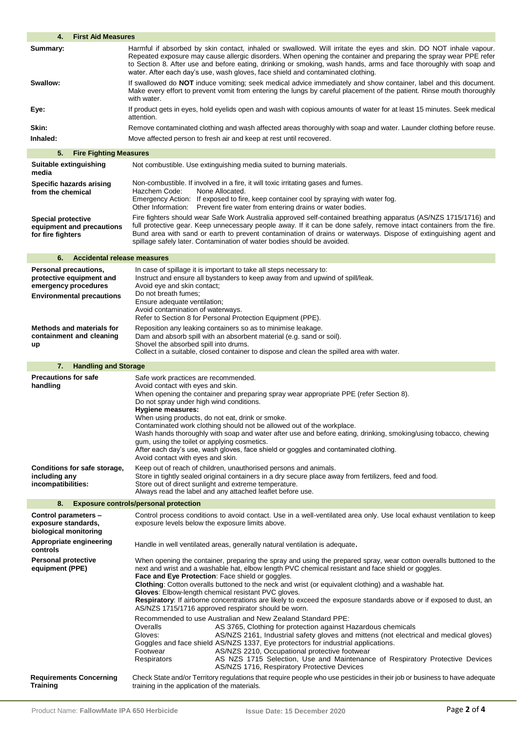| <b>First Aid Measures</b><br>4.                                                                                      |                                                                                                                                                                                                                                                                                                                                                                                                                                                                                                                                                                                                                                                                    |
|----------------------------------------------------------------------------------------------------------------------|--------------------------------------------------------------------------------------------------------------------------------------------------------------------------------------------------------------------------------------------------------------------------------------------------------------------------------------------------------------------------------------------------------------------------------------------------------------------------------------------------------------------------------------------------------------------------------------------------------------------------------------------------------------------|
| Summary:                                                                                                             | Harmful if absorbed by skin contact, inhaled or swallowed. Will irritate the eyes and skin. DO NOT inhale vapour.<br>Repeated exposure may cause allergic disorders. When opening the container and preparing the spray wear PPE refer<br>to Section 8. After use and before eating, drinking or smoking, wash hands, arms and face thoroughly with soap and<br>water. After each day's use, wash gloves, face shield and contaminated clothing.                                                                                                                                                                                                                   |
| Swallow:                                                                                                             | If swallowed do <b>NOT</b> induce vomiting; seek medical advice immediately and show container, label and this document.<br>Make every effort to prevent vomit from entering the lungs by careful placement of the patient. Rinse mouth thoroughly<br>with water.                                                                                                                                                                                                                                                                                                                                                                                                  |
| Eye:                                                                                                                 | If product gets in eyes, hold eyelids open and wash with copious amounts of water for at least 15 minutes. Seek medical<br>attention.                                                                                                                                                                                                                                                                                                                                                                                                                                                                                                                              |
| Skin:                                                                                                                | Remove contaminated clothing and wash affected areas thoroughly with soap and water. Launder clothing before reuse.                                                                                                                                                                                                                                                                                                                                                                                                                                                                                                                                                |
| Inhaled:                                                                                                             | Move affected person to fresh air and keep at rest until recovered.                                                                                                                                                                                                                                                                                                                                                                                                                                                                                                                                                                                                |
| 5.<br><b>Fire Fighting Measures</b>                                                                                  |                                                                                                                                                                                                                                                                                                                                                                                                                                                                                                                                                                                                                                                                    |
| Suitable extinguishing<br>media                                                                                      | Not combustible. Use extinguishing media suited to burning materials.                                                                                                                                                                                                                                                                                                                                                                                                                                                                                                                                                                                              |
| Specific hazards arising<br>from the chemical                                                                        | Non-combustible. If involved in a fire, it will toxic irritating gases and fumes.<br>Hazchem Code:<br>None Allocated.<br>Emergency Action: If exposed to fire, keep container cool by spraying with water fog.<br>Other Information: Prevent fire water from entering drains or water bodies.                                                                                                                                                                                                                                                                                                                                                                      |
| <b>Special protective</b><br>equipment and precautions<br>for fire fighters                                          | Fire fighters should wear Safe Work Australia approved self-contained breathing apparatus (AS/NZS 1715/1716) and<br>full protective gear. Keep unnecessary people away. If it can be done safely, remove intact containers from the fire.<br>Bund area with sand or earth to prevent contamination of drains or waterways. Dispose of extinguishing agent and<br>spillage safely later. Contamination of water bodies should be avoided.                                                                                                                                                                                                                           |
| Accidental release measures<br>6.                                                                                    |                                                                                                                                                                                                                                                                                                                                                                                                                                                                                                                                                                                                                                                                    |
| <b>Personal precautions,</b><br>protective equipment and<br>emergency procedures<br><b>Environmental precautions</b> | In case of spillage it is important to take all steps necessary to:<br>Instruct and ensure all bystanders to keep away from and upwind of spill/leak.<br>Avoid eye and skin contact;<br>Do not breath fumes:<br>Ensure adequate ventilation;<br>Avoid contamination of waterways.<br>Refer to Section 8 for Personal Protection Equipment (PPE).                                                                                                                                                                                                                                                                                                                   |
| <b>Methods and materials for</b><br>containment and cleaning<br>up                                                   | Reposition any leaking containers so as to minimise leakage.<br>Dam and absorb spill with an absorbent material (e.g. sand or soil).<br>Shovel the absorbed spill into drums.<br>Collect in a suitable, closed container to dispose and clean the spilled area with water.                                                                                                                                                                                                                                                                                                                                                                                         |
| <b>Handling and Storage</b><br>7.                                                                                    |                                                                                                                                                                                                                                                                                                                                                                                                                                                                                                                                                                                                                                                                    |
| <b>Precautions for safe</b><br>handling                                                                              | Safe work practices are recommended.<br>Avoid contact with eyes and skin.<br>When opening the container and preparing spray wear appropriate PPE (refer Section 8).<br>Do not spray under high wind conditions.<br>Hygiene measures:<br>When using products, do not eat, drink or smoke.<br>Contaminated work clothing should not be allowed out of the workplace.<br>Wash hands thoroughly with soap and water after use and before eating, drinking, smoking/using tobacco, chewing<br>gum, using the toilet or applying cosmetics.<br>After each day's use, wash gloves, face shield or goggles and contaminated clothing.<br>Avoid contact with eyes and skin. |
| Conditions for safe storage,<br>including any                                                                        | Keep out of reach of children, unauthorised persons and animals.<br>Store in tightly sealed original containers in a dry secure place away from fertilizers, feed and food.                                                                                                                                                                                                                                                                                                                                                                                                                                                                                        |
| incompatibilities:                                                                                                   | Store out of direct sunlight and extreme temperature.<br>Always read the label and any attached leaflet before use.                                                                                                                                                                                                                                                                                                                                                                                                                                                                                                                                                |
| 8.                                                                                                                   | <b>Exposure controls/personal protection</b>                                                                                                                                                                                                                                                                                                                                                                                                                                                                                                                                                                                                                       |
| Control parameters -<br>exposure standards,<br>biological monitoring                                                 | Control process conditions to avoid contact. Use in a well-ventilated area only. Use local exhaust ventilation to keep<br>exposure levels below the exposure limits above.                                                                                                                                                                                                                                                                                                                                                                                                                                                                                         |
| Appropriate engineering<br>controls                                                                                  | Handle in well ventilated areas, generally natural ventilation is adequate.                                                                                                                                                                                                                                                                                                                                                                                                                                                                                                                                                                                        |
| <b>Personal protective</b><br>equipment (PPE)                                                                        | When opening the container, preparing the spray and using the prepared spray, wear cotton overalls buttoned to the<br>next and wrist and a washable hat, elbow length PVC chemical resistant and face shield or goggles.<br>Face and Eye Protection: Face shield or goggles.<br>Clothing: Cotton overalls buttoned to the neck and wrist (or equivalent clothing) and a washable hat.<br>Gloves: Elbow-length chemical resistant PVC gloves.<br>Respiratory: If airborne concentrations are likely to exceed the exposure standards above or if exposed to dust, an<br>AS/NZS 1715/1716 approved respirator should be worn.                                        |
|                                                                                                                      | Recommended to use Australian and New Zealand Standard PPE:<br>AS 3765, Clothing for protection against Hazardous chemicals<br>Overalls<br>Gloves:<br>AS/NZS 2161, Industrial safety gloves and mittens (not electrical and medical gloves)<br>Goggles and face shield AS/NZS 1337, Eye protectors for industrial applications.<br>AS/NZS 2210, Occupational protective footwear<br>Footwear<br>AS NZS 1715 Selection, Use and Maintenance of Respiratory Protective Devices<br>Respirators<br>AS/NZS 1716, Respiratory Protective Devices                                                                                                                         |
| <b>Requirements Concerning</b><br><b>Training</b>                                                                    | Check State and/or Territory regulations that require people who use pesticides in their job or business to have adequate<br>training in the application of the materials.                                                                                                                                                                                                                                                                                                                                                                                                                                                                                         |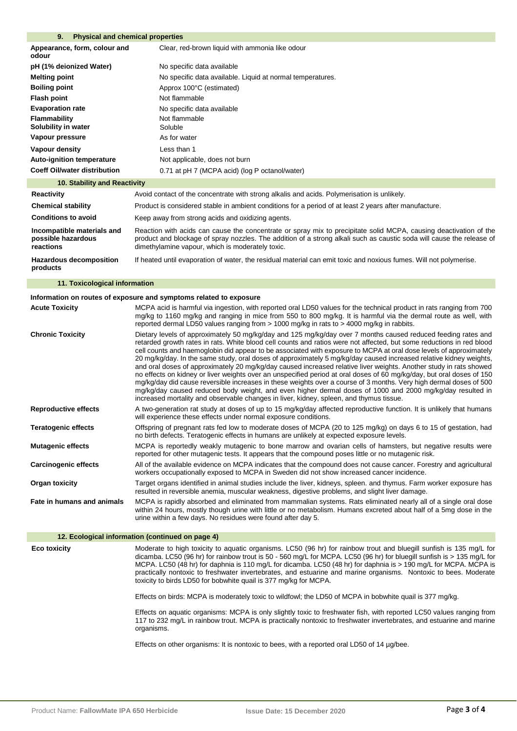### **9. Physical and chemical properties**

| Appearance, form, colour and<br>Clear, red-brown liquid with ammonia like odour<br>odour<br>pH (1% deionized Water)<br>No specific data available<br><b>Melting point</b><br>No specific data available. Liquid at normal temperatures.<br><b>Boiling point</b><br>Approx 100°C (estimated)<br><b>Flash point</b><br>Not flammable<br><b>Evaporation rate</b><br>No specific data available<br>Not flammable<br>Flammability<br>Solubility in water<br>Soluble<br>Vapour pressure<br>As for water<br>Vapour density<br>Less than 1<br><b>Auto-ignition temperature</b><br>Not applicable, does not burn<br><b>Coeff Oil/water distribution</b><br>0.71 at pH 7 (MCPA acid) (log P octanol/water) |  |
|--------------------------------------------------------------------------------------------------------------------------------------------------------------------------------------------------------------------------------------------------------------------------------------------------------------------------------------------------------------------------------------------------------------------------------------------------------------------------------------------------------------------------------------------------------------------------------------------------------------------------------------------------------------------------------------------------|--|
|                                                                                                                                                                                                                                                                                                                                                                                                                                                                                                                                                                                                                                                                                                  |  |
|                                                                                                                                                                                                                                                                                                                                                                                                                                                                                                                                                                                                                                                                                                  |  |
|                                                                                                                                                                                                                                                                                                                                                                                                                                                                                                                                                                                                                                                                                                  |  |
|                                                                                                                                                                                                                                                                                                                                                                                                                                                                                                                                                                                                                                                                                                  |  |
|                                                                                                                                                                                                                                                                                                                                                                                                                                                                                                                                                                                                                                                                                                  |  |
|                                                                                                                                                                                                                                                                                                                                                                                                                                                                                                                                                                                                                                                                                                  |  |
|                                                                                                                                                                                                                                                                                                                                                                                                                                                                                                                                                                                                                                                                                                  |  |
|                                                                                                                                                                                                                                                                                                                                                                                                                                                                                                                                                                                                                                                                                                  |  |
|                                                                                                                                                                                                                                                                                                                                                                                                                                                                                                                                                                                                                                                                                                  |  |
|                                                                                                                                                                                                                                                                                                                                                                                                                                                                                                                                                                                                                                                                                                  |  |
|                                                                                                                                                                                                                                                                                                                                                                                                                                                                                                                                                                                                                                                                                                  |  |

#### **10. Stability and Reactivity**

| Reactivity                                                    | Avoid contact of the concentrate with strong alkalis and acids. Polymerisation is unlikely.                                                                                                                                                                                                    |
|---------------------------------------------------------------|------------------------------------------------------------------------------------------------------------------------------------------------------------------------------------------------------------------------------------------------------------------------------------------------|
| <b>Chemical stability</b>                                     | Product is considered stable in ambient conditions for a period of at least 2 years after manufacture.                                                                                                                                                                                         |
| <b>Conditions to avoid</b>                                    | Keep away from strong acids and oxidizing agents.                                                                                                                                                                                                                                              |
| Incompatible materials and<br>possible hazardous<br>reactions | Reaction with acids can cause the concentrate or spray mix to precipitate solid MCPA, causing deactivation of the<br>product and blockage of spray nozzles. The addition of a strong alkali such as caustic soda will cause the release of<br>dimethylamine vapour, which is moderately toxic. |
| <b>Hazardous decomposition</b><br>products                    | If heated until evaporation of water, the residual material can emit toxic and noxious fumes. Will not polymerise.                                                                                                                                                                             |

# **11. Toxicological information**

# **Information on routes of exposure and symptoms related to exposure**

| <b>Acute Toxicity</b>       | MCPA acid is harmful via ingestion, with reported oral LD50 values for the technical product in rats ranging from 700<br>mg/kg to 1160 mg/kg and ranging in mice from 550 to 800 mg/kg. It is harmful via the dermal route as well, with<br>reported dermal LD50 values ranging from > 1000 mg/kg in rats to > 4000 mg/kg in rabbits.                                                                                                                                                                                                                                                                                                                                                                                                                                                                                                                                                                                                                                                                                                                           |
|-----------------------------|-----------------------------------------------------------------------------------------------------------------------------------------------------------------------------------------------------------------------------------------------------------------------------------------------------------------------------------------------------------------------------------------------------------------------------------------------------------------------------------------------------------------------------------------------------------------------------------------------------------------------------------------------------------------------------------------------------------------------------------------------------------------------------------------------------------------------------------------------------------------------------------------------------------------------------------------------------------------------------------------------------------------------------------------------------------------|
| <b>Chronic Toxicity</b>     | Dietary levels of approximately 50 mg/kg/day and 125 mg/kg/day over 7 months caused reduced feeding rates and<br>retarded growth rates in rats. White blood cell counts and ratios were not affected, but some reductions in red blood<br>cell counts and haemoglobin did appear to be associated with exposure to MCPA at oral dose levels of approximately<br>20 mg/kg/day. In the same study, oral doses of approximately 5 mg/kg/day caused increased relative kidney weights,<br>and oral doses of approximately 20 mg/kg/day caused increased relative liver weights. Another study in rats showed<br>no effects on kidney or liver weights over an unspecified period at oral doses of 60 mg/kg/day, but oral doses of 150<br>mg/kg/day did cause reversible increases in these weights over a course of 3 months. Very high dermal doses of 500<br>mg/kg/day caused reduced body weight, and even higher dermal doses of 1000 and 2000 mg/kg/day resulted in<br>increased mortality and observable changes in liver, kidney, spleen, and thymus tissue. |
| <b>Reproductive effects</b> | A two-generation rat study at doses of up to 15 mg/kg/day affected reproductive function. It is unlikely that humans<br>will experience these effects under normal exposure conditions.                                                                                                                                                                                                                                                                                                                                                                                                                                                                                                                                                                                                                                                                                                                                                                                                                                                                         |
| <b>Teratogenic effects</b>  | Offspring of pregnant rats fed low to moderate doses of MCPA (20 to 125 mg/kg) on days 6 to 15 of gestation, had<br>no birth defects. Teratogenic effects in humans are unlikely at expected exposure levels.                                                                                                                                                                                                                                                                                                                                                                                                                                                                                                                                                                                                                                                                                                                                                                                                                                                   |
| <b>Mutagenic effects</b>    | MCPA is reportedly weakly mutagenic to bone marrow and ovarian cells of hamsters, but negative results were<br>reported for other mutagenic tests. It appears that the compound poses little or no mutagenic risk.                                                                                                                                                                                                                                                                                                                                                                                                                                                                                                                                                                                                                                                                                                                                                                                                                                              |
| <b>Carcinogenic effects</b> | All of the available evidence on MCPA indicates that the compound does not cause cancer. Forestry and agricultural<br>workers occupationally exposed to MCPA in Sweden did not show increased cancer incidence.                                                                                                                                                                                                                                                                                                                                                                                                                                                                                                                                                                                                                                                                                                                                                                                                                                                 |
| Organ toxicity              | Target organs identified in animal studies include the liver, kidneys, spleen. and thymus. Farm worker exposure has<br>resulted in reversible anemia, muscular weakness, digestive problems, and slight liver damage.                                                                                                                                                                                                                                                                                                                                                                                                                                                                                                                                                                                                                                                                                                                                                                                                                                           |
| Fate in humans and animals  | MCPA is rapidly absorbed and eliminated from mammalian systems. Rats eliminated nearly all of a single oral dose<br>within 24 hours, mostly though urine with little or no metabolism. Humans excreted about half of a 5mg dose in the<br>urine within a few days. No residues were found after day 5.                                                                                                                                                                                                                                                                                                                                                                                                                                                                                                                                                                                                                                                                                                                                                          |

# **12. Ecological information (continued on page 4)**

**Eco toxicity** Moderate to high toxicity to aquatic organisms. LC50 (96 hr) for rainbow trout and bluegill sunfish is 135 mg/L for dicamba. LC50 (96 hr) for rainbow trout is 50 - 560 mg/L for MCPA. LC50 (96 hr) for bluegill sunfish is > 135 mg/L for MCPA. LC50 (48 hr) for daphnia is 110 mg/L for dicamba. LC50 (48 hr) for daphnia is > 190 mg/L for MCPA. MCPA is practically nontoxic to freshwater invertebrates, and estuarine and marine organisms. Nontoxic to bees. Moderate toxicity to birds LD50 for bobwhite quail is 377 mg/kg for MCPA.

Effects on birds: MCPA is moderately toxic to wildfowl; the LD50 of MCPA in bobwhite quail is 377 mg/kg.

Effects on aquatic organisms: MCPA is only slightly toxic to freshwater fish, with reported LC50 values ranging from 117 to 232 mg/L in rainbow trout. MCPA is practically nontoxic to freshwater invertebrates, and estuarine and marine organisms.

Effects on other organisms: It is nontoxic to bees, with a reported oral LD50 of 14 µg/bee.